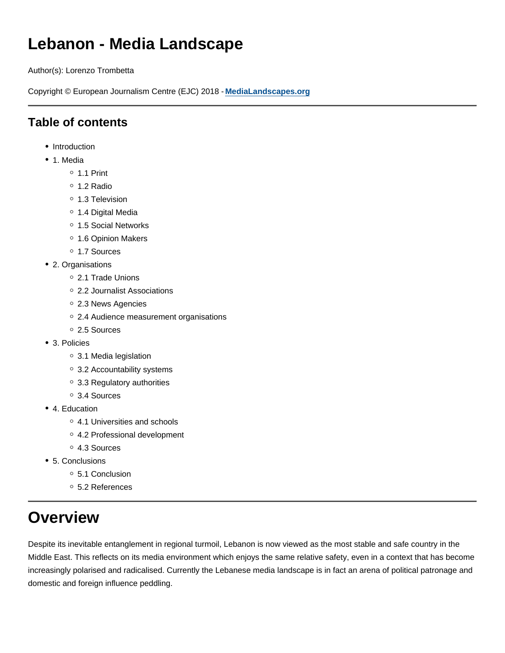# **Lebanon - Media Landscape**

Author(s): Lorenzo Trombetta

Copyright © European Journalism Centre (EJC) 2018 - **MediaLandscapes.org**

## **Table of contents**

- Introduction
- 1. Media
	- $0.1$  Print
	- 1.2 Radio
	- <sup>o</sup> 1.3 Television
	- 1.4 Digital Media
	- 1.5 Social Networks
	- <sup>o</sup> 1.6 Opinion Makers
	- 1.7 Sources
- 2. Organisations
	- 2.1 Trade Unions
	- 2.2 Journalist Associations
	- o 2.3 News Agencies
	- 2.4 Audience measurement organisations
	- 2.5 Sources
- 3. Policies
	- 3.1 Media legislation
	- 3.2 Accountability systems
	- 3.3 Regulatory authorities
	- 3.4 Sources
- 4. Education
	- 4.1 Universities and schools
	- 4.2 Professional development
	- 4.3 Sources
- 5. Conclusions
	- 5.1 Conclusion
	- 5.2 References

# **Overview**

Despite its inevitable entanglement in regional turmoil, Lebanon is now viewed as the most stable and safe country in the Middle East. This reflects on its media environment which enjoys the same relative safety, even in a context that has become increasingly polarised and radicalised. Currently the Lebanese media landscape is in fact an arena of political patronage and domestic and foreign influence peddling.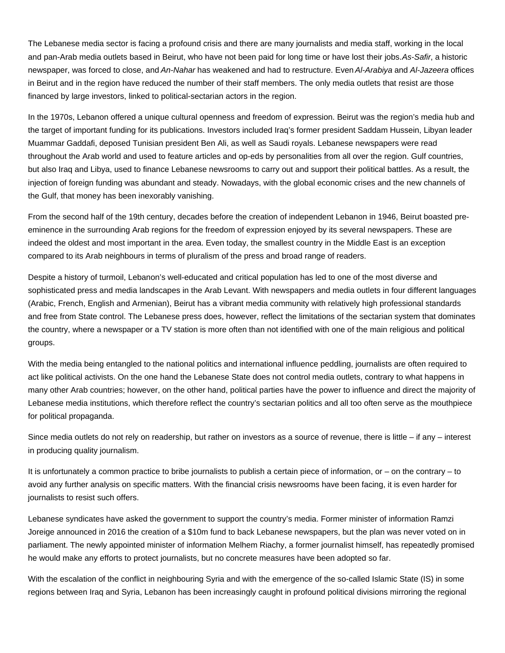The Lebanese media sector is facing a profound crisis and there are many journalists and media staff, working in the local and pan-Arab media outlets based in Beirut, who have not been paid for long time or have lost their jobs. As-Safir, a historic newspaper, was forced to close, and An-Nahar has weakened and had to restructure. Even Al-Arabiya and Al-Jazeera offices in Beirut and in the region have reduced the number of their staff members. The only media outlets that resist are those financed by large investors, linked to political-sectarian actors in the region.

In the 1970s, Lebanon offered a unique cultural openness and freedom of expression. Beirut was the region's media hub and the target of important funding for its publications. Investors included Iraq's former president Saddam Hussein, Libyan leader Muammar Gaddafi, deposed Tunisian president Ben Ali, as well as Saudi royals. Lebanese newspapers were read throughout the Arab world and used to feature articles and op-eds by personalities from all over the region. Gulf countries, but also Iraq and Libya, used to finance Lebanese newsrooms to carry out and support their political battles. As a result, the injection of foreign funding was abundant and steady. Nowadays, with the global economic crises and the new channels of the Gulf, that money has been inexorably vanishing.

From the second half of the 19th century, decades before the creation of independent Lebanon in 1946, Beirut boasted preeminence in the surrounding Arab regions for the freedom of expression enjoyed by its several newspapers. These are indeed the oldest and most important in the area. Even today, the smallest country in the Middle East is an exception compared to its Arab neighbours in terms of pluralism of the press and broad range of readers.

Despite a history of turmoil, Lebanon's well-educated and critical population has led to one of the most diverse and sophisticated press and media landscapes in the Arab Levant. With newspapers and media outlets in four different languages (Arabic, French, English and Armenian), Beirut has a vibrant media community with relatively high professional standards and free from State control. The Lebanese press does, however, reflect the limitations of the sectarian system that dominates the country, where a newspaper or a TV station is more often than not identified with one of the main religious and political groups.

With the media being entangled to the national politics and international influence peddling, journalists are often required to act like political activists. On the one hand the Lebanese State does not control media outlets, contrary to what happens in many other Arab countries; however, on the other hand, political parties have the power to influence and direct the majority of Lebanese media institutions, which therefore reflect the country's sectarian politics and all too often serve as the mouthpiece for political propaganda.

Since media outlets do not rely on readership, but rather on investors as a source of revenue, there is little – if any – interest in producing quality journalism.

It is unfortunately a common practice to bribe journalists to publish a certain piece of information, or – on the contrary – to avoid any further analysis on specific matters. With the financial crisis newsrooms have been facing, it is even harder for journalists to resist such offers.

Lebanese syndicates have asked the government to support the country's media. Former minister of information Ramzi Joreige announced in 2016 the creation of a \$10m fund to back Lebanese newspapers, but the plan was never voted on in parliament. The newly appointed minister of information Melhem Riachy, a former journalist himself, has repeatedly promised he would make any efforts to protect journalists, but no concrete measures have been adopted so far.

With the escalation of the conflict in neighbouring Syria and with the emergence of the so-called Islamic State (IS) in some regions between Iraq and Syria, Lebanon has been increasingly caught in profound political divisions mirroring the regional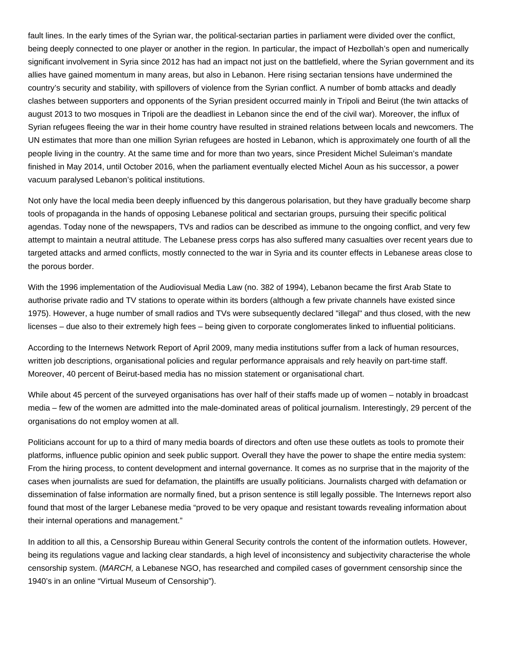fault lines. In the early times of the Syrian war, the political-sectarian parties in parliament were divided over the conflict, being deeply connected to one player or another in the region. In particular, the impact of Hezbollah's open and numerically significant involvement in Syria since 2012 has had an impact not just on the battlefield, where the Syrian government and its allies have gained momentum in many areas, but also in Lebanon. Here rising sectarian tensions have undermined the country's security and stability, with spillovers of violence from the Syrian conflict. A number of bomb attacks and deadly clashes between supporters and opponents of the Syrian president occurred mainly in Tripoli and Beirut (the twin attacks of august 2013 to two mosques in Tripoli are the deadliest in Lebanon since the end of the civil war). Moreover, the influx of Syrian refugees fleeing the war in their home country have resulted in strained relations between locals and newcomers. The UN estimates that more than one million Syrian refugees are hosted in Lebanon, which is approximately one fourth of all the people living in the country. At the same time and for more than two years, since President Michel Suleiman's mandate finished in May 2014, until October 2016, when the parliament eventually elected Michel Aoun as his successor, a power vacuum paralysed Lebanon's political institutions.

Not only have the local media been deeply influenced by this dangerous polarisation, but they have gradually become sharp tools of propaganda in the hands of opposing Lebanese political and sectarian groups, pursuing their specific political agendas. Today none of the newspapers, TVs and radios can be described as immune to the ongoing conflict, and very few attempt to maintain a neutral attitude. The Lebanese press corps has also suffered many casualties over recent years due to targeted attacks and armed conflicts, mostly connected to the war in Syria and its counter effects in Lebanese areas close to the porous border.

With the 1996 implementation of the Audiovisual Media Law (no. 382 of 1994), Lebanon became the first Arab State to authorise private radio and TV stations to operate within its borders (although a few private channels have existed since 1975). However, a huge number of small radios and TVs were subsequently declared "illegal" and thus closed, with the new licenses – due also to their extremely high fees – being given to corporate conglomerates linked to influential politicians.

According to the Internews Network Report of April 2009, many media institutions suffer from a lack of human resources, written job descriptions, organisational policies and regular performance appraisals and rely heavily on part-time staff. Moreover, 40 percent of Beirut-based media has no mission statement or organisational chart.

While about 45 percent of the surveyed organisations has over half of their staffs made up of women – notably in broadcast media – few of the women are admitted into the male-dominated areas of political journalism. Interestingly, 29 percent of the organisations do not employ women at all.

Politicians account for up to a third of many media boards of directors and often use these outlets as tools to promote their platforms, influence public opinion and seek public support. Overall they have the power to shape the entire media system: From the hiring process, to content development and internal governance. It comes as no surprise that in the majority of the cases when journalists are sued for defamation, the plaintiffs are usually politicians. Journalists charged with defamation or dissemination of false information are normally fined, but a prison sentence is still legally possible. The Internews report also found that most of the larger Lebanese media "proved to be very opaque and resistant towards revealing information about their internal operations and management."

In addition to all this, a Censorship Bureau within General Security controls the content of the information outlets. However, being its regulations vague and lacking clear standards, a high level of inconsistency and subjectivity characterise the whole censorship system. (MARCH, a Lebanese NGO, has researched and compiled cases of government censorship since the 1940's in an online "Virtual Museum of Censorship").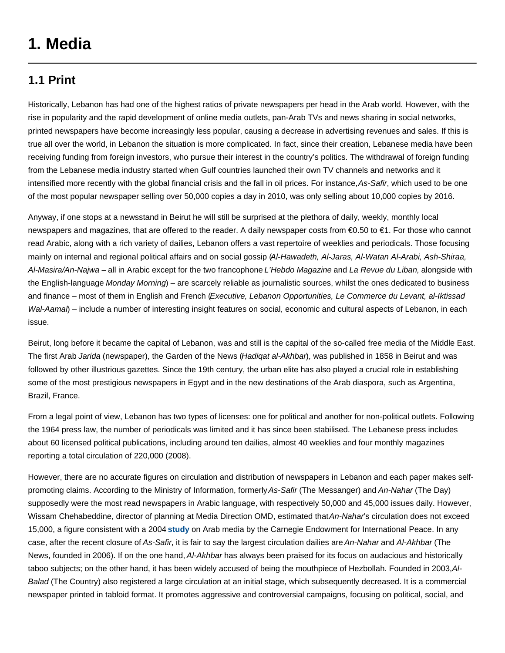# **1. Media**

### **1.1 Print**

Historically, Lebanon has had one of the highest ratios of private newspapers per head in the Arab world. However, with the rise in popularity and the rapid development of online media outlets, pan-Arab TVs and news sharing in social networks, printed newspapers have become increasingly less popular, causing a decrease in advertising revenues and sales. If this is true all over the world, in Lebanon the situation is more complicated. In fact, since their creation, Lebanese media have been receiving funding from foreign investors, who pursue their interest in the country's politics. The withdrawal of foreign funding from the Lebanese media industry started when Gulf countries launched their own TV channels and networks and it intensified more recently with the global financial crisis and the fall in oil prices. For instance, As-Safir, which used to be one of the most popular newspaper selling over 50,000 copies a day in 2010, was only selling about 10,000 copies by 2016.

Anyway, if one stops at a newsstand in Beirut he will still be surprised at the plethora of daily, weekly, monthly local newspapers and magazines, that are offered to the reader. A daily newspaper costs from €0.50 to €1. For those who cannot read Arabic, along with a rich variety of dailies, Lebanon offers a vast repertoire of weeklies and periodicals. Those focusing mainly on internal and regional political affairs and on social gossip (Al-Hawadeth, Al-Jaras, Al-Watan Al-Arabi, Ash-Shiraa, Al-Masira/An-Najwa – all in Arabic except for the two francophone L'Hebdo Magazine and La Revue du Liban, alongside with the English-language Monday Morning) – are scarcely reliable as journalistic sources, whilst the ones dedicated to business and finance – most of them in English and French (Executive, Lebanon Opportunities, Le Commerce du Levant, al-Iktissad Wal-Aama) – include a number of interesting insight features on social, economic and cultural aspects of Lebanon, in each issue.

Beirut, long before it became the capital of Lebanon, was and still is the capital of the so-called free media of the Middle East. The first Arab Jarida (newspaper), the Garden of the News (Hadigat al-Akhbar), was published in 1858 in Beirut and was followed by other illustrious gazettes. Since the 19th century, the urban elite has also played a crucial role in establishing some of the most prestigious newspapers in Egypt and in the new destinations of the Arab diaspora, such as Argentina, Brazil, France.

From a legal point of view, Lebanon has two types of licenses: one for political and another for non-political outlets. Following the 1964 press law, the number of periodicals was limited and it has since been stabilised. The Lebanese press includes about 60 licensed political publications, including around ten dailies, almost 40 weeklies and four monthly magazines reporting a total circulation of 220,000 (2008).

However, there are no accurate figures on circulation and distribution of newspapers in Lebanon and each paper makes selfpromoting claims. According to the Ministry of Information, formerly As-Safir (The Messanger) and An-Nahar (The Day) supposedly were the most read newspapers in Arabic language, with respectively 50,000 and 45,000 issues daily. However, Wissam Chehabeddine, director of planning at Media Direction OMD, estimated that An-Nahar's circulation does not exceed 15,000, a figure consistent with a 2004 **study** on Arab media by the Carnegie Endowment for International Peace. In any case, after the recent closure of As-Safir, it is fair to say the largest circulation dailies are An-Nahar and Al-Akhbar (The News, founded in 2006). If on the one hand, Al-Akhbar has always been praised for its focus on audacious and historically taboo subjects; on the other hand, it has been widely accused of being the mouthpiece of Hezbollah. Founded in 2003, Al-Balad (The Country) also registered a large circulation at an initial stage, which subsequently decreased. It is a commercial newspaper printed in tabloid format. It promotes aggressive and controversial campaigns, focusing on political, social, and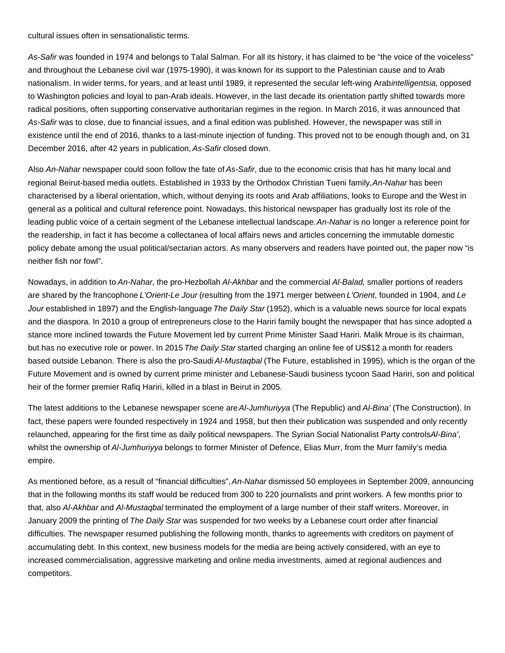cultural issues often in sensationalistic terms.

As-Safir was founded in 1974 and belongs to Talal Salman. For all its history, it has claimed to be "the voice of the voiceless" and throughout the Lebanese civil war (1975-1990), it was known for its support to the Palestinian cause and to Arab nationalism. In wider terms, for years, and at least until 1989, it represented the secular left-wing Arabintelligentsia, opposed to Washington policies and loyal to pan-Arab ideals. However, in the last decade its orientation partly shifted towards more radical positions, often supporting conservative authoritarian regimes in the region. In March 2016, it was announced that As-Safir was to close, due to financial issues, and a final edition was published. However, the newspaper was still in existence until the end of 2016, thanks to a last-minute injection of funding. This proved not to be enough though and, on 31 December 2016, after 42 years in publication, As-Safir closed down.

Also An-Nahar newspaper could soon follow the fate of As-Safir, due to the economic crisis that has hit many local and regional Beirut-based media outlets. Established in 1933 by the Orthodox Christian Tueni family, An-Nahar has been characterised by a liberal orientation, which, without denying its roots and Arab affiliations, looks to Europe and the West in general as a political and cultural reference point. Nowadays, this historical newspaper has gradually lost its role of the leading public voice of a certain segment of the Lebanese intellectual landscape. An-Nahar is no longer a reference point for the readership, in fact it has become a collectanea of local affairs news and articles concerning the immutable domestic policy debate among the usual political/sectarian actors. As many observers and readers have pointed out, the paper now "is neither fish nor fowl".

Nowadays, in addition to An-Nahar, the pro-Hezbollah Al-Akhbar and the commercial Al-Balad, smaller portions of readers are shared by the francophone L'Orient-Le Jour (resulting from the 1971 merger between L'Orient, founded in 1904, and Le Jour established in 1897) and the English-language The Daily Star (1952), which is a valuable news source for local expats and the diaspora. In 2010 a group of entrepreneurs close to the Hariri family bought the newspaper that has since adopted a stance more inclined towards the Future Movement led by current Prime Minister Saad Hariri. Malik Mroue is its chairman, but has no executive role or power. In 2015 The Daily Star started charging an online fee of US\$12 a month for readers based outside Lebanon. There is also the pro-Saudi Al-Mustagbal (The Future, established in 1995), which is the organ of the Future Movement and is owned by current prime minister and Lebanese-Saudi business tycoon Saad Hariri, son and political heir of the former premier Rafiq Hariri, killed in a blast in Beirut in 2005.

The latest additions to the Lebanese newspaper scene are Al-Jumhuriyya (The Republic) and Al-Bina' (The Construction). In fact, these papers were founded respectively in 1924 and 1958, but then their publication was suspended and only recently relaunched, appearing for the first time as daily political newspapers. The Syrian Social Nationalist Party controls Al-Bina', whilst the ownership of Al-Jumhuriyya belongs to former Minister of Defence, Elias Murr, from the Murr family's media empire.

As mentioned before, as a result of "financial difficulties", An-Nahar dismissed 50 employees in September 2009, announcing that in the following months its staff would be reduced from 300 to 220 journalists and print workers. A few months prior to that, also Al-Akhbar and Al-Mustaqbal terminated the employment of a large number of their staff writers. Moreover, in January 2009 the printing of The Daily Star was suspended for two weeks by a Lebanese court order after financial difficulties. The newspaper resumed publishing the following month, thanks to agreements with creditors on payment of accumulating debt. In this context, new business models for the media are being actively considered, with an eye to increased commercialisation, aggressive marketing and online media investments, aimed at regional audiences and competitors.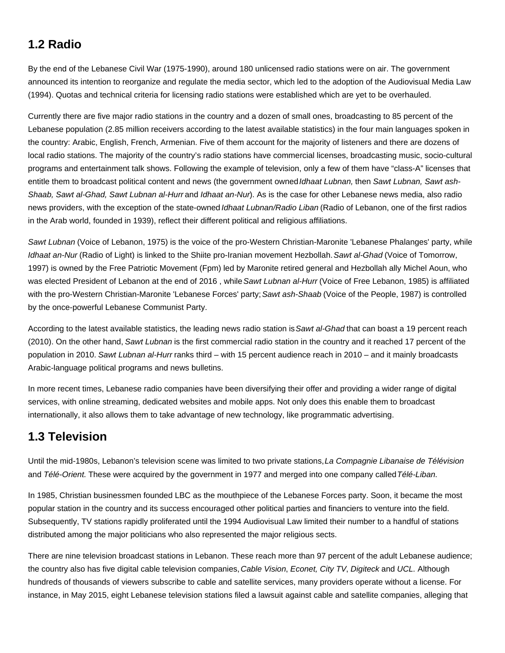# **1.2 Radio**

By the end of the Lebanese Civil War (1975-1990), around 180 unlicensed radio stations were on air. The government announced its intention to reorganize and regulate the media sector, which led to the adoption of the Audiovisual Media Law (1994). Quotas and technical criteria for licensing radio stations were established which are yet to be overhauled.

Currently there are five major radio stations in the country and a dozen of small ones, broadcasting to 85 percent of the Lebanese population (2.85 million receivers according to the latest available statistics) in the four main languages spoken in the country: Arabic, English, French, Armenian. Five of them account for the majority of listeners and there are dozens of local radio stations. The majority of the country's radio stations have commercial licenses, broadcasting music, socio-cultural programs and entertainment talk shows. Following the example of television, only a few of them have "class-A" licenses that entitle them to broadcast political content and news (the government owned Idhaat Lubnan, then Sawt Lubnan, Sawt ash-Shaab, Sawt al-Ghad, Sawt Lubnan al-Hurrand Idhaat an-Nur). As is the case for other Lebanese news media, also radio news providers, with the exception of the state-owned *Idhaat Lubnan/Radio Liban* (Radio of Lebanon, one of the first radios in the Arab world, founded in 1939), reflect their different political and religious affiliations.

Sawt Lubnan (Voice of Lebanon, 1975) is the voice of the pro-Western Christian-Maronite 'Lebanese Phalanges' party, while Idhaat an-Nur (Radio of Light) is linked to the Shiite pro-Iranian movement Hezbollah. Sawt al-Ghad (Voice of Tomorrow, 1997) is owned by the Free Patriotic Movement (Fpm) led by Maronite retired general and Hezbollah ally Michel Aoun, who was elected President of Lebanon at the end of 2016, while Sawt Lubnan al-Hurr (Voice of Free Lebanon, 1985) is affiliated with the pro-Western Christian-Maronite 'Lebanese Forces' party; Sawt ash-Shaab (Voice of the People, 1987) is controlled by the once-powerful Lebanese Communist Party.

According to the latest available statistics, the leading news radio station is Sawt al-Ghad that can boast a 19 percent reach (2010). On the other hand, Sawt Lubnan is the first commercial radio station in the country and it reached 17 percent of the population in 2010. Sawt Lubnan al-Hurr ranks third – with 15 percent audience reach in 2010 – and it mainly broadcasts Arabic-language political programs and news bulletins.

In more recent times, Lebanese radio companies have been diversifying their offer and providing a wider range of digital services, with online streaming, dedicated websites and mobile apps. Not only does this enable them to broadcast internationally, it also allows them to take advantage of new technology, like programmatic advertising.

## **1.3 Television**

Until the mid-1980s, Lebanon's television scene was limited to two private stations, La Compagnie Libanaise de Télévision and Télé-Orient. These were acquired by the government in 1977 and merged into one company called Télé-Liban.

In 1985, Christian businessmen founded LBC as the mouthpiece of the Lebanese Forces party. Soon, it became the most popular station in the country and its success encouraged other political parties and financiers to venture into the field. Subsequently, TV stations rapidly proliferated until the 1994 Audiovisual Law limited their number to a handful of stations distributed among the major politicians who also represented the major religious sects.

There are nine television broadcast stations in Lebanon. These reach more than 97 percent of the adult Lebanese audience; the country also has five digital cable television companies, Cable Vision, Econet, City TV, Digiteck and UCL. Although hundreds of thousands of viewers subscribe to cable and satellite services, many providers operate without a license. For instance, in May 2015, eight Lebanese television stations filed a lawsuit against cable and satellite companies, alleging that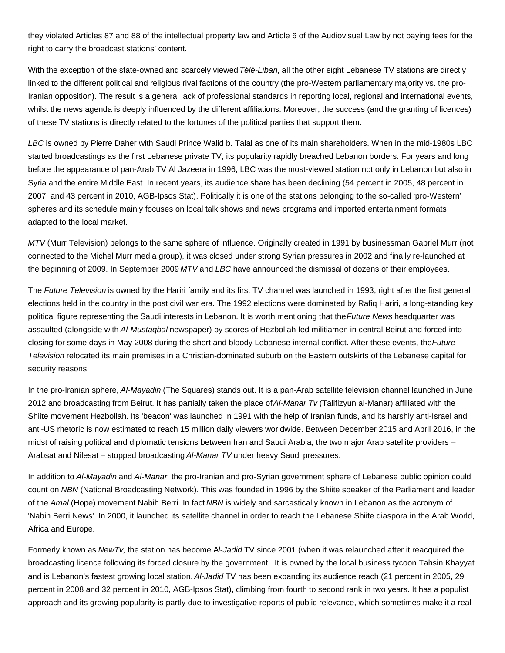they violated Articles 87 and 88 of the intellectual property law and Article 6 of the Audiovisual Law by not paying fees for the right to carry the broadcast stations' content.

With the exception of the state-owned and scarcely viewed Télé-Liban, all the other eight Lebanese TV stations are directly linked to the different political and religious rival factions of the country (the pro-Western parliamentary majority vs. the pro-Iranian opposition). The result is a general lack of professional standards in reporting local, regional and international events, whilst the news agenda is deeply influenced by the different affiliations. Moreover, the success (and the granting of licences) of these TV stations is directly related to the fortunes of the political parties that support them.

LBC is owned by Pierre Daher with Saudi Prince Walid b. Talal as one of its main shareholders. When in the mid-1980s LBC started broadcastings as the first Lebanese private TV, its popularity rapidly breached Lebanon borders. For years and long before the appearance of pan-Arab TV Al Jazeera in 1996, LBC was the most-viewed station not only in Lebanon but also in Syria and the entire Middle East. In recent years, its audience share has been declining (54 percent in 2005, 48 percent in 2007, and 43 percent in 2010, AGB-Ipsos Stat). Politically it is one of the stations belonging to the so-called 'pro-Western' spheres and its schedule mainly focuses on local talk shows and news programs and imported entertainment formats adapted to the local market.

MTV (Murr Television) belongs to the same sphere of influence. Originally created in 1991 by businessman Gabriel Murr (not connected to the Michel Murr media group), it was closed under strong Syrian pressures in 2002 and finally re-launched at the beginning of 2009. In September 2009 MTV and LBC have announced the dismissal of dozens of their employees.

The Future Television is owned by the Hariri family and its first TV channel was launched in 1993, right after the first general elections held in the country in the post civil war era. The 1992 elections were dominated by Rafiq Hariri, a long-standing key political figure representing the Saudi interests in Lebanon. It is worth mentioning that the Future News headquarter was assaulted (alongside with Al-Mustaqbal newspaper) by scores of Hezbollah-led militiamen in central Beirut and forced into closing for some days in May 2008 during the short and bloody Lebanese internal conflict. After these events, the Future Television relocated its main premises in a Christian-dominated suburb on the Eastern outskirts of the Lebanese capital for security reasons.

In the pro-Iranian sphere, Al-Mayadin (The Squares) stands out. It is a pan-Arab satellite television channel launched in June 2012 and broadcasting from Beirut. It has partially taken the place of Al-Manar Tv (Talifizyun al-Manar) affiliated with the Shiite movement Hezbollah. Its 'beacon' was launched in 1991 with the help of Iranian funds, and its harshly anti-Israel and anti-US rhetoric is now estimated to reach 15 million daily viewers worldwide. Between December 2015 and April 2016, in the midst of raising political and diplomatic tensions between Iran and Saudi Arabia, the two major Arab satellite providers – Arabsat and Nilesat – stopped broadcasting Al-Manar TV under heavy Saudi pressures.

In addition to Al-Mayadin and Al-Manar, the pro-Iranian and pro-Syrian government sphere of Lebanese public opinion could count on NBN (National Broadcasting Network). This was founded in 1996 by the Shiite speaker of the Parliament and leader of the Amal (Hope) movement Nabih Berri. In fact NBN is widely and sarcastically known in Lebanon as the acronym of 'Nabih Berri News'. In 2000, it launched its satellite channel in order to reach the Lebanese Shiite diaspora in the Arab World, Africa and Europe.

Formerly known as NewTv, the station has become Al-Jadid TV since 2001 (when it was relaunched after it reacquired the broadcasting licence following its forced closure by the government . It is owned by the local business tycoon Tahsin Khayyat and is Lebanon's fastest growing local station. Al-Jadid TV has been expanding its audience reach (21 percent in 2005, 29 percent in 2008 and 32 percent in 2010, AGB-Ipsos Stat), climbing from fourth to second rank in two years. It has a populist approach and its growing popularity is partly due to investigative reports of public relevance, which sometimes make it a real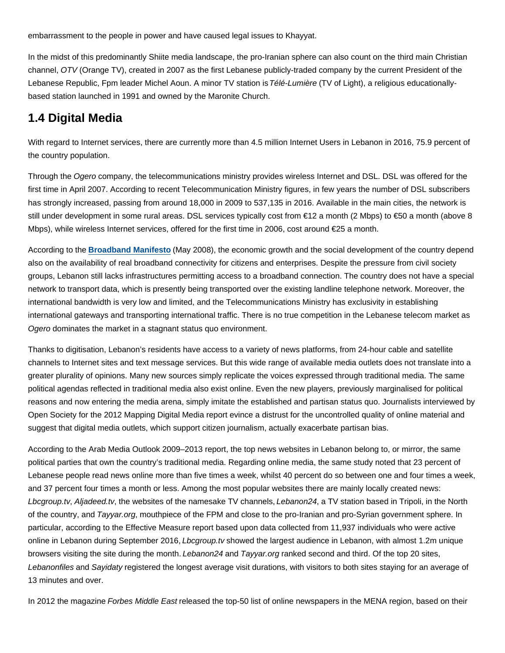embarrassment to the people in power and have caused legal issues to Khayyat.

In the midst of this predominantly Shiite media landscape, the pro-Iranian sphere can also count on the third main Christian channel, OTV (Orange TV), created in 2007 as the first Lebanese publicly-traded company by the current President of the Lebanese Republic, Fpm leader Michel Aoun. A minor TV station is Télé-Lumière (TV of Light), a religious educationallybased station launched in 1991 and owned by the Maronite Church.

# **1.4 Digital Media**

With regard to Internet services, there are currently more than 4.5 million Internet Users in Lebanon in 2016, 75.9 percent of the country population.

Through the Ogero company, the telecommunications ministry provides wireless Internet and DSL. DSL was offered for the first time in April 2007. According to recent Telecommunication Ministry figures, in few years the number of DSL subscribers has strongly increased, passing from around 18,000 in 2009 to 537,135 in 2016. Available in the main cities, the network is still under development in some rural areas. DSL services typically cost from €12 a month (2 Mbps) to €50 a month (above 8 Mbps), while wireless Internet services, offered for the first time in 2006, cost around €25 a month.

According to the **Broadband Manifesto** (May 2008), the economic growth and the social development of the country depend also on the availability of real broadband connectivity for citizens and enterprises. Despite the pressure from civil society groups, Lebanon still lacks infrastructures permitting access to a broadband connection. The country does not have a special network to transport data, which is presently being transported over the existing landline telephone network. Moreover, the international bandwidth is very low and limited, and the Telecommunications Ministry has exclusivity in establishing international gateways and transporting international traffic. There is no true competition in the Lebanese telecom market as Ogero dominates the market in a stagnant status quo environment.

Thanks to digitisation, Lebanon's residents have access to a variety of news platforms, from 24-hour cable and satellite channels to Internet sites and text message services. But this wide range of available media outlets does not translate into a greater plurality of opinions. Many new sources simply replicate the voices expressed through traditional media. The same political agendas reflected in traditional media also exist online. Even the new players, previously marginalised for political reasons and now entering the media arena, simply imitate the established and partisan status quo. Journalists interviewed by Open Society for the 2012 Mapping Digital Media report evince a distrust for the uncontrolled quality of online material and suggest that digital media outlets, which support citizen journalism, actually exacerbate partisan bias.

According to the Arab Media Outlook 2009–2013 report, the top news websites in Lebanon belong to, or mirror, the same political parties that own the country's traditional media. Regarding online media, the same study noted that 23 percent of Lebanese people read news online more than five times a week, whilst 40 percent do so between one and four times a week, and 37 percent four times a month or less. Among the most popular websites there are mainly locally created news: Lbcgroup.tv, Aljadeed.tv, the websites of the namesake TV channels, Lebanon24, a TV station based in Tripoli, in the North of the country, and Tayyar.org, mouthpiece of the FPM and close to the pro-Iranian and pro-Syrian government sphere. In particular, according to the Effective Measure report based upon data collected from 11,937 individuals who were active online in Lebanon during September 2016, *Lbcgroup.tv* showed the largest audience in Lebanon, with almost 1.2m unique browsers visiting the site during the month. Lebanon24 and Tayyar.org ranked second and third. Of the top 20 sites, Lebanonfiles and Sayidaty registered the longest average visit durations, with visitors to both sites staying for an average of 13 minutes and over.

In 2012 the magazine Forbes Middle East released the top-50 list of online newspapers in the MENA region, based on their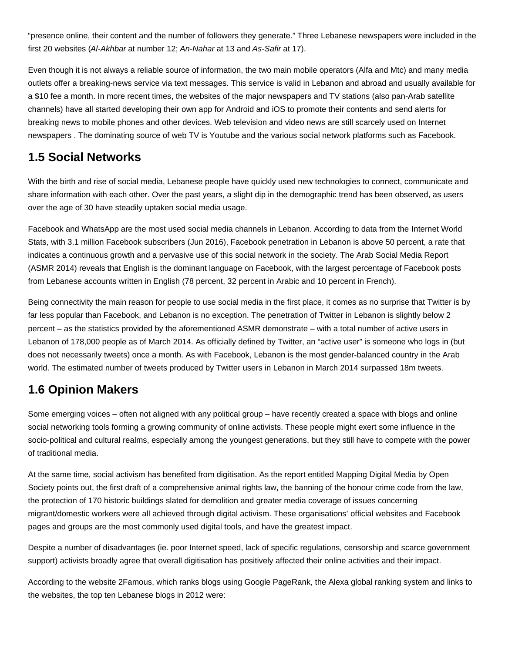"presence online, their content and the number of followers they generate." Three Lebanese newspapers were included in the first 20 websites (Al-Akhbar at number 12; An-Nahar at 13 and As-Safir at 17).

Even though it is not always a reliable source of information, the two main mobile operators (Alfa and Mtc) and many media outlets offer a breaking-news service via text messages. This service is valid in Lebanon and abroad and usually available for a \$10 fee a month. In more recent times, the websites of the major newspapers and TV stations (also pan-Arab satellite channels) have all started developing their own app for Android and iOS to promote their contents and send alerts for breaking news to mobile phones and other devices. Web television and video news are still scarcely used on Internet newspapers . The dominating source of web TV is Youtube and the various social network platforms such as Facebook.

## **1.5 Social Networks**

With the birth and rise of social media, Lebanese people have quickly used new technologies to connect, communicate and share information with each other. Over the past years, a slight dip in the demographic trend has been observed, as users over the age of 30 have steadily uptaken social media usage.

Facebook and WhatsApp are the most used social media channels in Lebanon. According to data from the Internet World Stats, with 3.1 million Facebook subscribers (Jun 2016), Facebook penetration in Lebanon is above 50 percent, a rate that indicates a continuous growth and a pervasive use of this social network in the society. The Arab Social Media Report (ASMR 2014) reveals that English is the dominant language on Facebook, with the largest percentage of Facebook posts from Lebanese accounts written in English (78 percent, 32 percent in Arabic and 10 percent in French).

Being connectivity the main reason for people to use social media in the first place, it comes as no surprise that Twitter is by far less popular than Facebook, and Lebanon is no exception. The penetration of Twitter in Lebanon is slightly below 2 percent – as the statistics provided by the aforementioned ASMR demonstrate – with a total number of active users in Lebanon of 178,000 people as of March 2014. As officially defined by Twitter, an "active user" is someone who logs in (but does not necessarily tweets) once a month. As with Facebook, Lebanon is the most gender-balanced country in the Arab world. The estimated number of tweets produced by Twitter users in Lebanon in March 2014 surpassed 18m tweets.

## **1.6 Opinion Makers**

Some emerging voices – often not aligned with any political group – have recently created a space with blogs and online social networking tools forming a growing community of online activists. These people might exert some influence in the socio-political and cultural realms, especially among the youngest generations, but they still have to compete with the power of traditional media.

At the same time, social activism has benefited from digitisation. As the report entitled Mapping Digital Media by Open Society points out, the first draft of a comprehensive animal rights law, the banning of the honour crime code from the law, the protection of 170 historic buildings slated for demolition and greater media coverage of issues concerning migrant/domestic workers were all achieved through digital activism. These organisations' official websites and Facebook pages and groups are the most commonly used digital tools, and have the greatest impact.

Despite a number of disadvantages (ie. poor Internet speed, lack of specific regulations, censorship and scarce government support) activists broadly agree that overall digitisation has positively affected their online activities and their impact.

According to the website 2Famous, which ranks blogs using Google PageRank, the Alexa global ranking system and links to the websites, the top ten Lebanese blogs in 2012 were: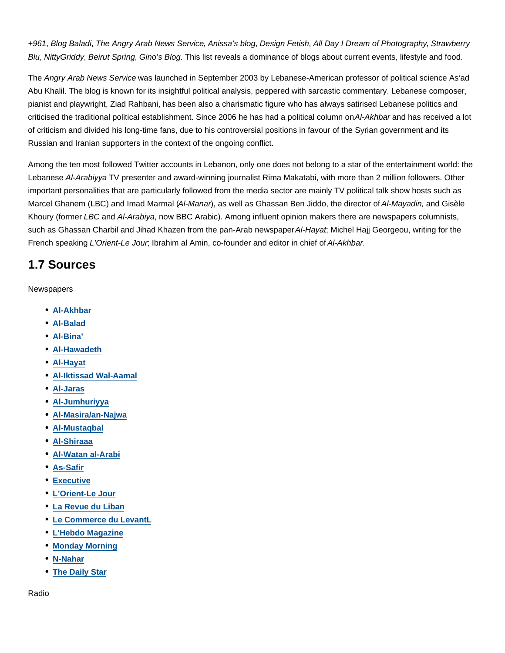+961, Blog Baladi, The Angry Arab News Service, Anissa's blog, Design Fetish, All Day I Dream of Photography, Strawberry Blu, NittyGriddy, Beirut Spring, Gino's Blog. This list reveals a dominance of blogs about current events, lifestyle and food.

The Angry Arab News Service was launched in September 2003 by Lebanese-American professor of political science As'ad Abu Khalil. The blog is known for its insightful political analysis, peppered with sarcastic commentary. Lebanese composer, pianist and playwright, Ziad Rahbani, has been also a charismatic figure who has always satirised Lebanese politics and criticised the traditional political establishment. Since 2006 he has had a political column on Al-Akhbar and has received a lot of criticism and divided his long-time fans, due to his controversial positions in favour of the Syrian government and its Russian and Iranian supporters in the context of the ongoing conflict.

Among the ten most followed Twitter accounts in Lebanon, only one does not belong to a star of the entertainment world: the Lebanese Al-Arabiyya TV presenter and award-winning journalist Rima Makatabi, with more than 2 million followers. Other important personalities that are particularly followed from the media sector are mainly TV political talk show hosts such as Marcel Ghanem (LBC) and Imad Marmal (Al-Manar), as well as Ghassan Ben Jiddo, the director of Al-Mayadin, and Gisèle Khoury (former LBC and Al-Arabiya, now BBC Arabic). Among influent opinion makers there are newspapers columnists, such as Ghassan Charbil and Jihad Khazen from the pan-Arab newspaper Al-Hayat; Michel Hajj Georgeou, writing for the French speaking L'Orient-Le Jour; Ibrahim al Amin, co-founder and editor in chief of Al-Akhbar.

### **1.7 Sources**

**Newspapers** 

- **Al-Akhbar**
- **Al-Balad**
- **Al-Bina'**
- **Al-Hawadeth**
- **Al-Hayat**
- **Al-Iktissad Wal-Aamal**
- **Al-Jaras**
- **Al-Jumhuriyya**
- **Al-Masira/an-Najwa**
- **Al-Mustaqbal**
- **Al-Shiraaa**
- **Al-Watan al-Arabi**
- **As-Safir**
- **Executive**
- **L'Orient-Le Jour**
- **La Revue du Liban**
- **Le Commerce du LevantL**
- **L'Hebdo Magazine**
- **Monday Morning**
- **N-Nahar**
- **The Daily Star**

Radio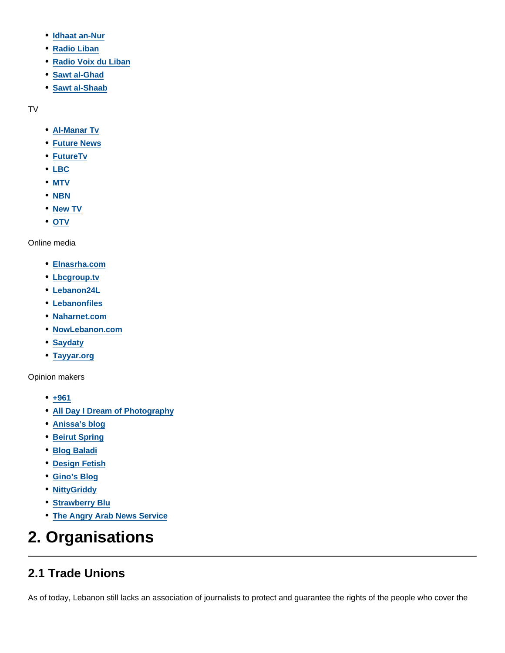- **Idhaat an-Nur**
- **Radio Liban**
- **Radio Voix du Liban**
- **Sawt al-Ghad**
- **Sawt al-Shaab**

TV

- **Al-Manar Tv**
- **Future News**
- **FutureTv**
- **LBC**
- **MTV**
- **NBN**
- **New TV**
- **OTV**

Online media

- **Elnasrha.com**
- **Lbcgroup.tv**
- **Lebanon24L**
- **Lebanonfiles**
- **Naharnet.com**
- **NowLebanon.com**
- **Saydaty**
- **Tayyar.org**

Opinion makers

- **+961**
- **All Day I Dream of Photography**
- **Anissa's blog**
- **Beirut Spring**
- **Blog Baladi**
- **Design Fetish**
- **Gino's Blog**
- **NittyGriddy**
- **Strawberry Blu**
- **The Angry Arab News Service**

# **2. Organisations**

## **2.1 Trade Unions**

As of today, Lebanon still lacks an association of journalists to protect and guarantee the rights of the people who cover the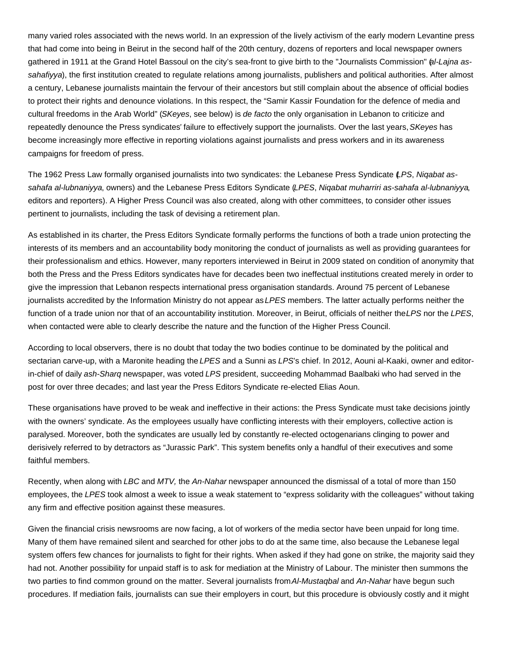many varied roles associated with the news world. In an expression of the lively activism of the early modern Levantine press that had come into being in Beirut in the second half of the 20th century, dozens of reporters and local newspaper owners gathered in 1911 at the Grand Hotel Bassoul on the city's sea-front to give birth to the "Journalists Commission" (al-Lajna assahafiyya), the first institution created to regulate relations among journalists, publishers and political authorities. After almost a century, Lebanese journalists maintain the fervour of their ancestors but still complain about the absence of official bodies to protect their rights and denounce violations. In this respect, the "Samir Kassir Foundation for the defence of media and cultural freedoms in the Arab World" (SKeyes, see below) is de facto the only organisation in Lebanon to criticize and repeatedly denounce the Press syndicates' failure to effectively support the journalists. Over the last years, SKeyes has become increasingly more effective in reporting violations against journalists and press workers and in its awareness campaigns for freedom of press.

The 1962 Press Law formally organised journalists into two syndicates: the Lebanese Press Syndicate (LPS, Nigabat assahafa al-lubnaniyya, owners) and the Lebanese Press Editors Syndicate (LPES, Nigabat muharriri as-sahafa al-lubnaniyya, editors and reporters). A Higher Press Council was also created, along with other committees, to consider other issues pertinent to journalists, including the task of devising a retirement plan.

As established in its charter, the Press Editors Syndicate formally performs the functions of both a trade union protecting the interests of its members and an accountability body monitoring the conduct of journalists as well as providing guarantees for their professionalism and ethics. However, many reporters interviewed in Beirut in 2009 stated on condition of anonymity that both the Press and the Press Editors syndicates have for decades been two ineffectual institutions created merely in order to give the impression that Lebanon respects international press organisation standards. Around 75 percent of Lebanese journalists accredited by the Information Ministry do not appear as LPES members. The latter actually performs neither the function of a trade union nor that of an accountability institution. Moreover, in Beirut, officials of neither the LPS nor the LPES, when contacted were able to clearly describe the nature and the function of the Higher Press Council.

According to local observers, there is no doubt that today the two bodies continue to be dominated by the political and sectarian carve-up, with a Maronite heading the LPES and a Sunni as LPS's chief. In 2012, Aouni al-Kaaki, owner and editorin-chief of daily ash-Sharg newspaper, was voted LPS president, succeeding Mohammad Baalbaki who had served in the post for over three decades; and last year the Press Editors Syndicate re-elected Elias Aoun.

These organisations have proved to be weak and ineffective in their actions: the Press Syndicate must take decisions jointly with the owners' syndicate. As the employees usually have conflicting interests with their employers, collective action is paralysed. Moreover, both the syndicates are usually led by constantly re-elected octogenarians clinging to power and derisively referred to by detractors as "Jurassic Park". This system benefits only a handful of their executives and some faithful members.

Recently, when along with LBC and MTV, the An-Nahar newspaper announced the dismissal of a total of more than 150 employees, the LPES took almost a week to issue a weak statement to "express solidarity with the colleagues" without taking any firm and effective position against these measures.

Given the financial crisis newsrooms are now facing, a lot of workers of the media sector have been unpaid for long time. Many of them have remained silent and searched for other jobs to do at the same time, also because the Lebanese legal system offers few chances for journalists to fight for their rights. When asked if they had gone on strike, the majority said they had not. Another possibility for unpaid staff is to ask for mediation at the Ministry of Labour. The minister then summons the two parties to find common ground on the matter. Several journalists from Al-Mustaqbal and An-Nahar have begun such procedures. If mediation fails, journalists can sue their employers in court, but this procedure is obviously costly and it might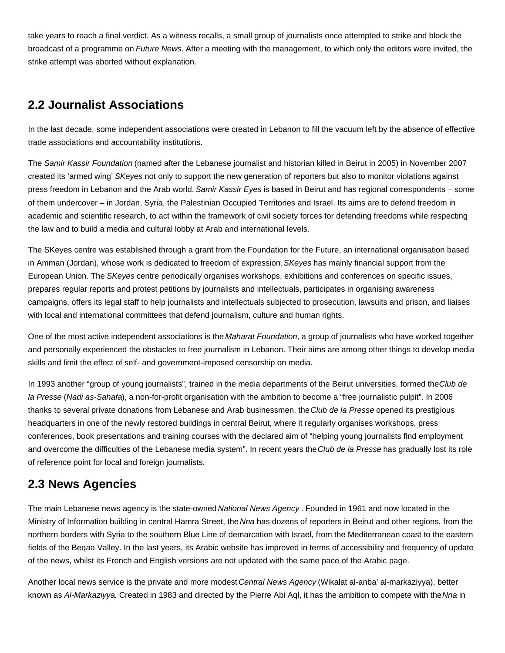take years to reach a final verdict. As a witness recalls, a small group of journalists once attempted to strike and block the broadcast of a programme on Future News. After a meeting with the management, to which only the editors were invited, the strike attempt was aborted without explanation.

## **2.2 Journalist Associations**

In the last decade, some independent associations were created in Lebanon to fill the vacuum left by the absence of effective trade associations and accountability institutions.

The Samir Kassir Foundation (named after the Lebanese journalist and historian killed in Beirut in 2005) in November 2007 created its 'armed wing' SKeyes not only to support the new generation of reporters but also to monitor violations against press freedom in Lebanon and the Arab world. Samir Kassir Eyes is based in Beirut and has regional correspondents – some of them undercover – in Jordan, Syria, the Palestinian Occupied Territories and Israel. Its aims are to defend freedom in academic and scientific research, to act within the framework of civil society forces for defending freedoms while respecting the law and to build a media and cultural lobby at Arab and international levels.

The SKeyes centre was established through a grant from the Foundation for the Future, an international organisation based in Amman (Jordan), whose work is dedicated to freedom of expression. SKeyes has mainly financial support from the European Union. The SKeyes centre periodically organises workshops, exhibitions and conferences on specific issues, prepares regular reports and protest petitions by journalists and intellectuals, participates in organising awareness campaigns, offers its legal staff to help journalists and intellectuals subjected to prosecution, lawsuits and prison, and liaises with local and international committees that defend journalism, culture and human rights.

One of the most active independent associations is the Maharat Foundation, a group of journalists who have worked together and personally experienced the obstacles to free journalism in Lebanon. Their aims are among other things to develop media skills and limit the effect of self- and government-imposed censorship on media.

In 1993 another "group of young journalists", trained in the media departments of the Beirut universities, formed the Club de la Presse (Nadi as-Sahafa), a non-for-profit organisation with the ambition to become a "free journalistic pulpit". In 2006 thanks to several private donations from Lebanese and Arab businessmen, the Club de la Presse opened its prestigious headquarters in one of the newly restored buildings in central Beirut, where it regularly organises workshops, press conferences, book presentations and training courses with the declared aim of "helping young journalists find employment and overcome the difficulties of the Lebanese media system". In recent years the Club de la Presse has gradually lost its role of reference point for local and foreign journalists.

## **2.3 News Agencies**

The main Lebanese news agency is the state-owned National News Agency. Founded in 1961 and now located in the Ministry of Information building in central Hamra Street, the Nna has dozens of reporters in Beirut and other regions, from the northern borders with Syria to the southern Blue Line of demarcation with Israel, from the Mediterranean coast to the eastern fields of the Beqaa Valley. In the last years, its Arabic website has improved in terms of accessibility and frequency of update of the news, whilst its French and English versions are not updated with the same pace of the Arabic page.

Another local news service is the private and more modest Central News Agency (Wikalat al-anba' al-markaziyya), better known as Al-Markaziyya. Created in 1983 and directed by the Pierre Abi Aql, it has the ambition to compete with the Nna in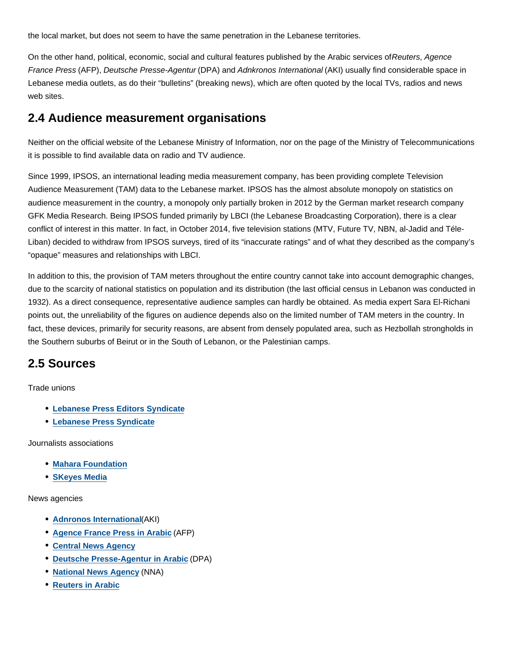the local market, but does not seem to have the same penetration in the Lebanese territories.

On the other hand, political, economic, social and cultural features published by the Arabic services of Reuters, Agence France Press (AFP), Deutsche Presse-Agentur (DPA) and Adnkronos International (AKI) usually find considerable space in Lebanese media outlets, as do their "bulletins" (breaking news), which are often quoted by the local TVs, radios and news web sites.

### **2.4 Audience measurement organisations**

Neither on the official website of the Lebanese Ministry of Information, nor on the page of the Ministry of Telecommunications it is possible to find available data on radio and TV audience.

Since 1999, IPSOS, an international leading media measurement company, has been providing complete Television Audience Measurement (TAM) data to the Lebanese market. IPSOS has the almost absolute monopoly on statistics on audience measurement in the country, a monopoly only partially broken in 2012 by the German market research company GFK Media Research. Being IPSOS funded primarily by LBCI (the Lebanese Broadcasting Corporation), there is a clear conflict of interest in this matter. In fact, in October 2014, five television stations (MTV, Future TV, NBN, al-Jadid and Téle-Liban) decided to withdraw from IPSOS surveys, tired of its "inaccurate ratings" and of what they described as the company's "opaque" measures and relationships with LBCI.

In addition to this, the provision of TAM meters throughout the entire country cannot take into account demographic changes, due to the scarcity of national statistics on population and its distribution (the last official census in Lebanon was conducted in 1932). As a direct consequence, representative audience samples can hardly be obtained. As media expert Sara El-Richani points out, the unreliability of the figures on audience depends also on the limited number of TAM meters in the country. In fact, these devices, primarily for security reasons, are absent from densely populated area, such as Hezbollah strongholds in the Southern suburbs of Beirut or in the South of Lebanon, or the Palestinian camps.

### **2.5 Sources**

Trade unions

- **Lebanese Press Editors Syndicate**
- **Lebanese Press Syndicate**

Journalists associations

- **Mahara Foundation**
- **SKeyes Media**

News agencies

- **Adnronos International**(AKI)
- **Agence France Press in Arabic** (AFP)
- **Central News Agency**
- **Deutsche Presse-Agentur in Arabic** (DPA)
- **National News Agency** (NNA)
- **Reuters in Arabic**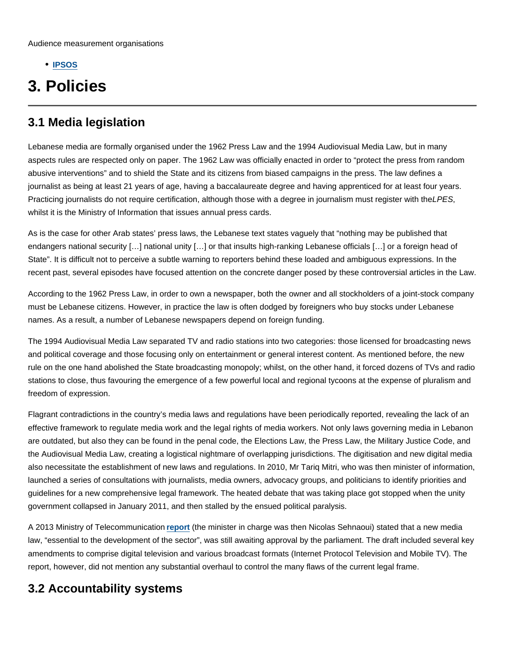**IPSOS**

# **3. Policies**

### **3.1 Media legislation**

Lebanese media are formally organised under the 1962 Press Law and the 1994 Audiovisual Media Law, but in many aspects rules are respected only on paper. The 1962 Law was officially enacted in order to "protect the press from random abusive interventions" and to shield the State and its citizens from biased campaigns in the press. The law defines a journalist as being at least 21 years of age, having a baccalaureate degree and having apprenticed for at least four years. Practicing journalists do not require certification, although those with a degree in journalism must register with the LPES, whilst it is the Ministry of Information that issues annual press cards.

As is the case for other Arab states' press laws, the Lebanese text states vaguely that "nothing may be published that endangers national security […] national unity […] or that insults high-ranking Lebanese officials […] or a foreign head of State". It is difficult not to perceive a subtle warning to reporters behind these loaded and ambiguous expressions. In the recent past, several episodes have focused attention on the concrete danger posed by these controversial articles in the Law.

According to the 1962 Press Law, in order to own a newspaper, both the owner and all stockholders of a joint-stock company must be Lebanese citizens. However, in practice the law is often dodged by foreigners who buy stocks under Lebanese names. As a result, a number of Lebanese newspapers depend on foreign funding.

The 1994 Audiovisual Media Law separated TV and radio stations into two categories: those licensed for broadcasting news and political coverage and those focusing only on entertainment or general interest content. As mentioned before, the new rule on the one hand abolished the State broadcasting monopoly; whilst, on the other hand, it forced dozens of TVs and radio stations to close, thus favouring the emergence of a few powerful local and regional tycoons at the expense of pluralism and freedom of expression.

Flagrant contradictions in the country's media laws and regulations have been periodically reported, revealing the lack of an effective framework to regulate media work and the legal rights of media workers. Not only laws governing media in Lebanon are outdated, but also they can be found in the penal code, the Elections Law, the Press Law, the Military Justice Code, and the Audiovisual Media Law, creating a logistical nightmare of overlapping jurisdictions. The digitisation and new digital media also necessitate the establishment of new laws and regulations. In 2010, Mr Tariq Mitri, who was then minister of information, launched a series of consultations with journalists, media owners, advocacy groups, and politicians to identify priorities and guidelines for a new comprehensive legal framework. The heated debate that was taking place got stopped when the unity government collapsed in January 2011, and then stalled by the ensued political paralysis.

A 2013 Ministry of Telecommunication **report** (the minister in charge was then Nicolas Sehnaoui) stated that a new media law, "essential to the development of the sector", was still awaiting approval by the parliament. The draft included several key amendments to comprise digital television and various broadcast formats (Internet Protocol Television and Mobile TV). The report, however, did not mention any substantial overhaul to control the many flaws of the current legal frame.

## **3.2 Accountability systems**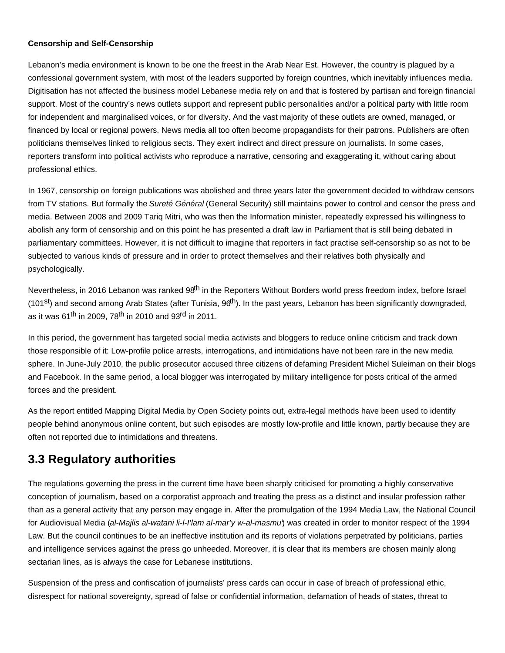#### **Censorship and Self-Censorship**

Lebanon's media environment is known to be one the freest in the Arab Near Est. However, the country is plagued by a confessional government system, with most of the leaders supported by foreign countries, which inevitably influences media. Digitisation has not affected the business model Lebanese media rely on and that is fostered by partisan and foreign financial support. Most of the country's news outlets support and represent public personalities and/or a political party with little room for independent and marginalised voices, or for diversity. And the vast majority of these outlets are owned, managed, or financed by local or regional powers. News media all too often become propagandists for their patrons. Publishers are often politicians themselves linked to religious sects. They exert indirect and direct pressure on journalists. In some cases, reporters transform into political activists who reproduce a narrative, censoring and exaggerating it, without caring about professional ethics.

In 1967, censorship on foreign publications was abolished and three years later the government decided to withdraw censors from TV stations. But formally the Sureté Général (General Security) still maintains power to control and censor the press and media. Between 2008 and 2009 Tariq Mitri, who was then the Information minister, repeatedly expressed his willingness to abolish any form of censorship and on this point he has presented a draft law in Parliament that is still being debated in parliamentary committees. However, it is not difficult to imagine that reporters in fact practise self-censorship so as not to be subjected to various kinds of pressure and in order to protect themselves and their relatives both physically and psychologically.

Nevertheless, in 2016 Lebanon was ranked 98<sup>th</sup> in the Reporters Without Borders world press freedom index, before Israel (101<sup>st</sup>) and second among Arab States (after Tunisia,  $96<sup>th</sup>$ ). In the past years, Lebanon has been significantly downgraded, as it was  $61^{th}$  in 2009, 78<sup>th</sup> in 2010 and 93<sup>rd</sup> in 2011.

In this period, the government has targeted social media activists and bloggers to reduce online criticism and track down those responsible of it: Low-profile police arrests, interrogations, and intimidations have not been rare in the new media sphere. In June-July 2010, the public prosecutor accused three citizens of defaming President Michel Suleiman on their blogs and Facebook. In the same period, a local blogger was interrogated by military intelligence for posts critical of the armed forces and the president.

As the report entitled Mapping Digital Media by Open Society points out, extra-legal methods have been used to identify people behind anonymous online content, but such episodes are mostly low-profile and little known, partly because they are often not reported due to intimidations and threatens.

## **3.3 Regulatory authorities**

The regulations governing the press in the current time have been sharply criticised for promoting a highly conservative conception of journalism, based on a corporatist approach and treating the press as a distinct and insular profession rather than as a general activity that any person may engage in. After the promulgation of the 1994 Media Law, the National Council for Audiovisual Media (al-Majlis al-watani li-l-l'lam al-mar'y w-al-masmu) was created in order to monitor respect of the 1994 Law. But the council continues to be an ineffective institution and its reports of violations perpetrated by politicians, parties and intelligence services against the press go unheeded. Moreover, it is clear that its members are chosen mainly along sectarian lines, as is always the case for Lebanese institutions.

Suspension of the press and confiscation of journalists' press cards can occur in case of breach of professional ethic, disrespect for national sovereignty, spread of false or confidential information, defamation of heads of states, threat to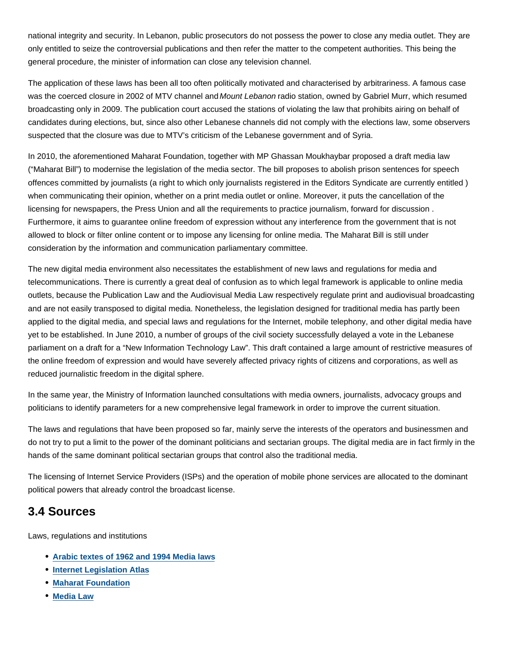national integrity and security. In Lebanon, public prosecutors do not possess the power to close any media outlet. They are only entitled to seize the controversial publications and then refer the matter to the competent authorities. This being the general procedure, the minister of information can close any television channel.

The application of these laws has been all too often politically motivated and characterised by arbitrariness. A famous case was the coerced closure in 2002 of MTV channel and Mount Lebanon radio station, owned by Gabriel Murr, which resumed broadcasting only in 2009. The publication court accused the stations of violating the law that prohibits airing on behalf of candidates during elections, but, since also other Lebanese channels did not comply with the elections law, some observers suspected that the closure was due to MTV's criticism of the Lebanese government and of Syria.

In 2010, the aforementioned Maharat Foundation, together with MP Ghassan Moukhaybar proposed a draft media law ("Maharat Bill") to modernise the legislation of the media sector. The bill proposes to abolish prison sentences for speech offences committed by journalists (a right to which only journalists registered in the Editors Syndicate are currently entitled ) when communicating their opinion, whether on a print media outlet or online. Moreover, it puts the cancellation of the licensing for newspapers, the Press Union and all the requirements to practice journalism, forward for discussion . Furthermore, it aims to guarantee online freedom of expression without any interference from the government that is not allowed to block or filter online content or to impose any licensing for online media. The Maharat Bill is still under consideration by the information and communication parliamentary committee.

The new digital media environment also necessitates the establishment of new laws and regulations for media and telecommunications. There is currently a great deal of confusion as to which legal framework is applicable to online media outlets, because the Publication Law and the Audiovisual Media Law respectively regulate print and audiovisual broadcasting and are not easily transposed to digital media. Nonetheless, the legislation designed for traditional media has partly been applied to the digital media, and special laws and regulations for the Internet, mobile telephony, and other digital media have yet to be established. In June 2010, a number of groups of the civil society successfully delayed a vote in the Lebanese parliament on a draft for a "New Information Technology Law". This draft contained a large amount of restrictive measures of the online freedom of expression and would have severely affected privacy rights of citizens and corporations, as well as reduced journalistic freedom in the digital sphere.

In the same year, the Ministry of Information launched consultations with media owners, journalists, advocacy groups and politicians to identify parameters for a new comprehensive legal framework in order to improve the current situation.

The laws and regulations that have been proposed so far, mainly serve the interests of the operators and businessmen and do not try to put a limit to the power of the dominant politicians and sectarian groups. The digital media are in fact firmly in the hands of the same dominant political sectarian groups that control also the traditional media.

The licensing of Internet Service Providers (ISPs) and the operation of mobile phone services are allocated to the dominant political powers that already control the broadcast license.

### **3.4 Sources**

Laws, regulations and institutions

- **Arabic textes of 1962 and 1994 Media laws**
- **Internet Legislation Atlas**
- **Maharat Foundation**
- **Media Law**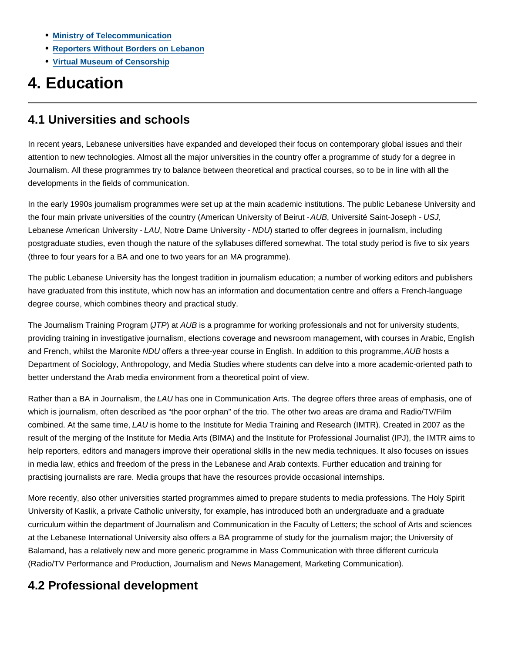- **Ministry of Telecommunication**
- **Reporters Without Borders on Lebanon**
- **Virtual Museum of Censorship**

# **4. Education**

## **4.1 Universities and schools**

In recent years, Lebanese universities have expanded and developed their focus on contemporary global issues and their attention to new technologies. Almost all the major universities in the country offer a programme of study for a degree in Journalism. All these programmes try to balance between theoretical and practical courses, so to be in line with all the developments in the fields of communication.

In the early 1990s journalism programmes were set up at the main academic institutions. The public Lebanese University and the four main private universities of the country (American University of Beirut - AUB, Université Saint-Joseph - USJ, Lebanese American University - LAU, Notre Dame University - NDU) started to offer degrees in journalism, including postgraduate studies, even though the nature of the syllabuses differed somewhat. The total study period is five to six years (three to four years for a BA and one to two years for an MA programme).

The public Lebanese University has the longest tradition in journalism education; a number of working editors and publishers have graduated from this institute, which now has an information and documentation centre and offers a French-language degree course, which combines theory and practical study.

The Journalism Training Program (JTP) at AUB is a programme for working professionals and not for university students, providing training in investigative journalism, elections coverage and newsroom management, with courses in Arabic, English and French, whilst the Maronite NDU offers a three-year course in English. In addition to this programme, AUB hosts a Department of Sociology, Anthropology, and Media Studies where students can delve into a more academic-oriented path to better understand the Arab media environment from a theoretical point of view.

Rather than a BA in Journalism, the LAU has one in Communication Arts. The degree offers three areas of emphasis, one of which is journalism, often described as "the poor orphan" of the trio. The other two areas are drama and Radio/TV/Film combined. At the same time, LAU is home to the Institute for Media Training and Research (IMTR). Created in 2007 as the result of the merging of the Institute for Media Arts (BIMA) and the Institute for Professional Journalist (IPJ), the IMTR aims to help reporters, editors and managers improve their operational skills in the new media techniques. It also focuses on issues in media law, ethics and freedom of the press in the Lebanese and Arab contexts. Further education and training for practising journalists are rare. Media groups that have the resources provide occasional internships.

More recently, also other universities started programmes aimed to prepare students to media professions. The Holy Spirit University of Kaslik, a private Catholic university, for example, has introduced both an undergraduate and a graduate curriculum within the department of Journalism and Communication in the Faculty of Letters; the school of Arts and sciences at the Lebanese International University also offers a BA programme of study for the journalism major; the University of Balamand, has a relatively new and more generic programme in Mass Communication with three different curricula (Radio/TV Performance and Production, Journalism and News Management, Marketing Communication).

## **4.2 Professional development**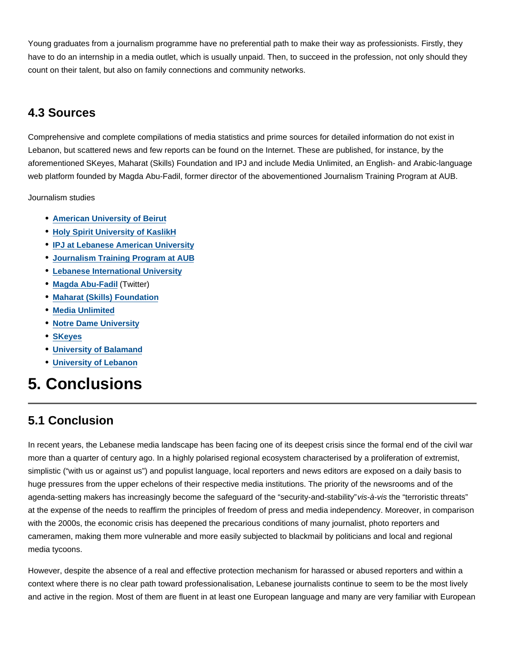Young graduates from a journalism programme have no preferential path to make their way as professionists. Firstly, they have to do an internship in a media outlet, which is usually unpaid. Then, to succeed in the profession, not only should they count on their talent, but also on family connections and community networks.

## **4.3 Sources**

Comprehensive and complete compilations of media statistics and prime sources for detailed information do not exist in Lebanon, but scattered news and few reports can be found on the Internet. These are published, for instance, by the aforementioned SKeyes, Maharat (Skills) Foundation and IPJ and include Media Unlimited, an English- and Arabic-language web platform founded by Magda Abu-Fadil, former director of the abovementioned Journalism Training Program at AUB.

Journalism studies

- **American University of Beirut**
- **Holy Spirit University of KaslikH**
- **IPJ at Lebanese American University**
- **Journalism Training Program at AUB**
- **Lebanese International University**
- **Magda Abu-Fadil** (Twitter)
- **Maharat (Skills) Foundation**
- **Media Unlimited**
- **Notre Dame University**
- **SKeyes**
- **University of Balamand**
- **University of Lebanon**

# **5. Conclusions**

## **5.1 Conclusion**

In recent years, the Lebanese media landscape has been facing one of its deepest crisis since the formal end of the civil war more than a quarter of century ago. In a highly polarised regional ecosystem characterised by a proliferation of extremist, simplistic ("with us or against us") and populist language, local reporters and news editors are exposed on a daily basis to huge pressures from the upper echelons of their respective media institutions. The priority of the newsrooms and of the agenda-setting makers has increasingly become the safeguard of the "security-and-stability" vis-à-vis the "terroristic threats" at the expense of the needs to reaffirm the principles of freedom of press and media independency. Moreover, in comparison with the 2000s, the economic crisis has deepened the precarious conditions of many journalist, photo reporters and cameramen, making them more vulnerable and more easily subjected to blackmail by politicians and local and regional media tycoons.

However, despite the absence of a real and effective protection mechanism for harassed or abused reporters and within a context where there is no clear path toward professionalisation, Lebanese journalists continue to seem to be the most lively and active in the region. Most of them are fluent in at least one European language and many are very familiar with European